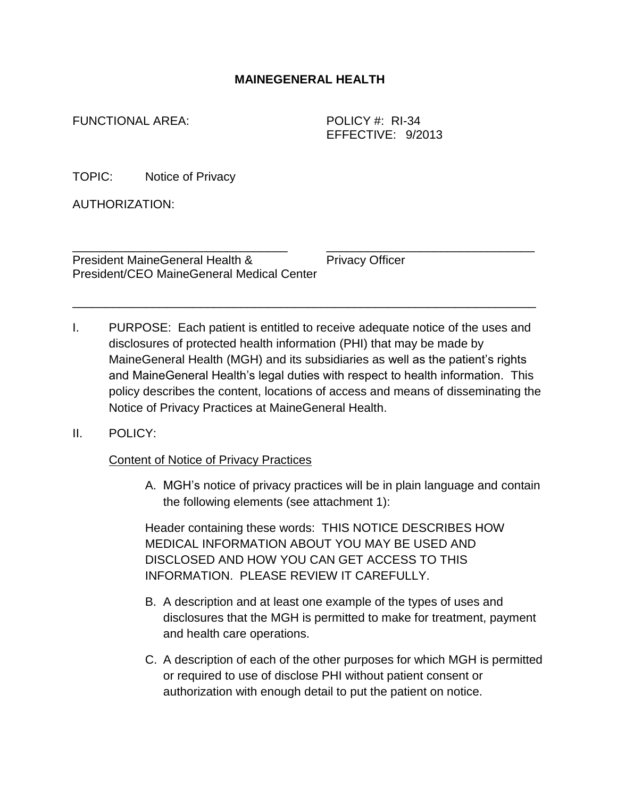## **MAINEGENERAL HEALTH**

FUNCTIONAL AREA: POLICY #: RI-34

EFFECTIVE: 9/2013

TOPIC: Notice of Privacy

AUTHORIZATION:

President MaineGeneral Health & Privacy Officer President/CEO MaineGeneral Medical Center

I. PURPOSE: Each patient is entitled to receive adequate notice of the uses and disclosures of protected health information (PHI) that may be made by MaineGeneral Health (MGH) and its subsidiaries as well as the patient's rights and MaineGeneral Health's legal duties with respect to health information. This policy describes the content, locations of access and means of disseminating the Notice of Privacy Practices at MaineGeneral Health.

\_\_\_\_\_\_\_\_\_\_\_\_\_\_\_\_\_\_\_\_\_\_\_\_\_\_\_\_\_\_\_\_ \_\_\_\_\_\_\_\_\_\_\_\_\_\_\_\_\_\_\_\_\_\_\_\_\_\_\_\_\_\_\_

\_\_\_\_\_\_\_\_\_\_\_\_\_\_\_\_\_\_\_\_\_\_\_\_\_\_\_\_\_\_\_\_\_\_\_\_\_\_\_\_\_\_\_\_\_\_\_\_\_\_\_\_\_\_\_\_\_\_\_\_\_\_\_\_\_\_\_\_\_

## II. POLICY:

## Content of Notice of Privacy Practices

A. MGH's notice of privacy practices will be in plain language and contain the following elements (see attachment 1):

Header containing these words: THIS NOTICE DESCRIBES HOW MEDICAL INFORMATION ABOUT YOU MAY BE USED AND DISCLOSED AND HOW YOU CAN GET ACCESS TO THIS INFORMATION. PLEASE REVIEW IT CAREFULLY.

- B. A description and at least one example of the types of uses and disclosures that the MGH is permitted to make for treatment, payment and health care operations.
- C. A description of each of the other purposes for which MGH is permitted or required to use of disclose PHI without patient consent or authorization with enough detail to put the patient on notice.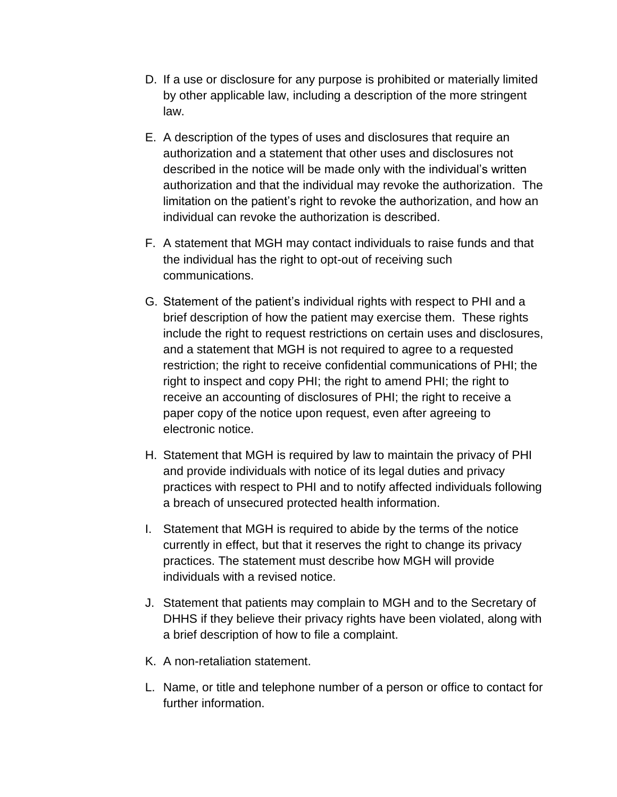- D. If a use or disclosure for any purpose is prohibited or materially limited by other applicable law, including a description of the more stringent law.
- E. A description of the types of uses and disclosures that require an authorization and a statement that other uses and disclosures not described in the notice will be made only with the individual's written authorization and that the individual may revoke the authorization. The limitation on the patient's right to revoke the authorization, and how an individual can revoke the authorization is described.
- F. A statement that MGH may contact individuals to raise funds and that the individual has the right to opt-out of receiving such communications.
- G. Statement of the patient's individual rights with respect to PHI and a brief description of how the patient may exercise them. These rights include the right to request restrictions on certain uses and disclosures, and a statement that MGH is not required to agree to a requested restriction; the right to receive confidential communications of PHI; the right to inspect and copy PHI; the right to amend PHI; the right to receive an accounting of disclosures of PHI; the right to receive a paper copy of the notice upon request, even after agreeing to electronic notice.
- H. Statement that MGH is required by law to maintain the privacy of PHI and provide individuals with notice of its legal duties and privacy practices with respect to PHI and to notify affected individuals following a breach of unsecured protected health information.
- I. Statement that MGH is required to abide by the terms of the notice currently in effect, but that it reserves the right to change its privacy practices. The statement must describe how MGH will provide individuals with a revised notice.
- J. Statement that patients may complain to MGH and to the Secretary of DHHS if they believe their privacy rights have been violated, along with a brief description of how to file a complaint.
- K. A non-retaliation statement.
- L. Name, or title and telephone number of a person or office to contact for further information.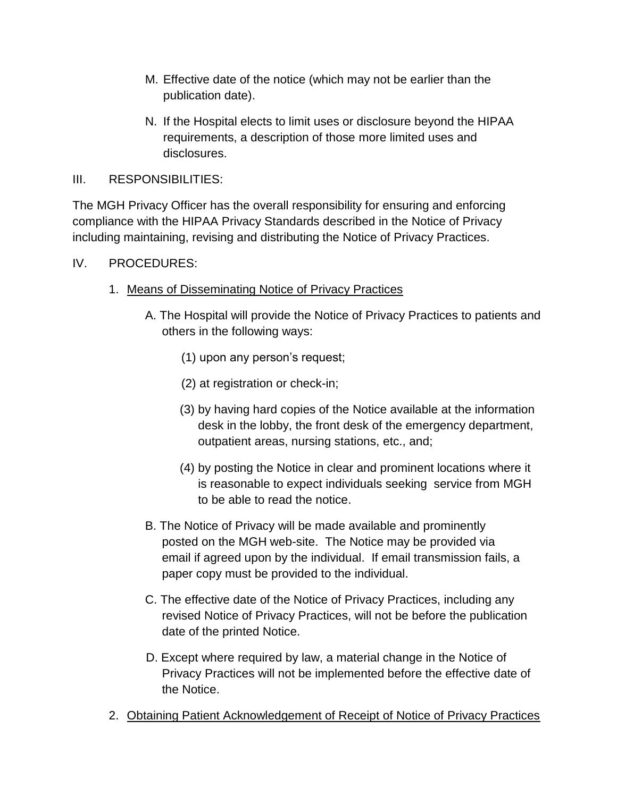- M. Effective date of the notice (which may not be earlier than the publication date).
- N. If the Hospital elects to limit uses or disclosure beyond the HIPAA requirements, a description of those more limited uses and disclosures.
- III. RESPONSIBILITIES:

The MGH Privacy Officer has the overall responsibility for ensuring and enforcing compliance with the HIPAA Privacy Standards described in the Notice of Privacy including maintaining, revising and distributing the Notice of Privacy Practices.

- IV. PROCEDURES:
	- 1. Means of Disseminating Notice of Privacy Practices
		- A. The Hospital will provide the Notice of Privacy Practices to patients and others in the following ways:
			- (1) upon any person's request;
			- (2) at registration or check-in;
			- (3) by having hard copies of the Notice available at the information desk in the lobby, the front desk of the emergency department, outpatient areas, nursing stations, etc., and;
			- (4) by posting the Notice in clear and prominent locations where it is reasonable to expect individuals seeking service from MGH to be able to read the notice.
		- B. The Notice of Privacy will be made available and prominently posted on the MGH web-site. The Notice may be provided via email if agreed upon by the individual. If email transmission fails, a paper copy must be provided to the individual.
		- C. The effective date of the Notice of Privacy Practices, including any revised Notice of Privacy Practices, will not be before the publication date of the printed Notice.
		- D. Except where required by law, a material change in the Notice of Privacy Practices will not be implemented before the effective date of the Notice.
	- 2. Obtaining Patient Acknowledgement of Receipt of Notice of Privacy Practices